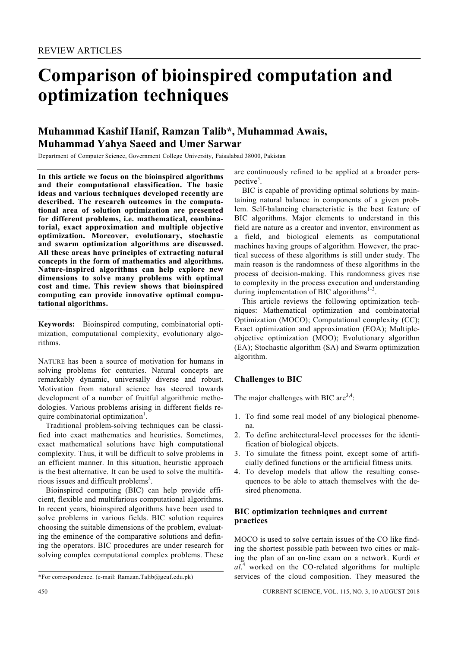# **Comparison of bioinspired computation and optimization techniques**

## **Muhammad Kashif Hanif, Ramzan Talib\*, Muhammad Awais, Muhammad Yahya Saeed and Umer Sarwar**

Department of Computer Science, Government-College-University, Faisalabad 38000, Pakistan

**In this article we focus on the bioinspired algorithms and their computational classification. The basic ideas and various techniques developed recently are described. The research outcomes in the computational area of solution optimization are presented for different problems, i.e. mathematical, combinatorial, exact approximation and multiple objective optimization. Moreover, evolutionary, stochastic and swarm optimization algorithms are discussed. All these areas have principles of extracting natural concepts in the form of mathematics and algorithms. Nature-inspired algorithms can help explore new dimensions to solve many problems with optimal cost and time. This review shows that bioinspired computing can provide innovative optimal computational algorithms.** 

**Keywords:** Bioinspired computing, combinatorial optimization, computational complexity, evolutionary algorithms.

NATURE has been a source of motivation for humans in solving problems for centuries. Natural concepts are remarkably dynamic, universally diverse and robust. Motivation from natural science has steered towards development of a number of fruitful algorithmic methodologies. Various problems arising in different fields require combinatorial optimization<sup>1</sup>.

 Traditional problem-solving techniques can be classified into exact mathematics and heuristics. Sometimes, exact mathematical solutions have high computational complexity. Thus, it will be difficult to solve problems in an efficient manner. In this situation, heuristic approach is the best alternative. It can be used to solve the multifarious issues and difficult problems<sup>2</sup>.

 Bioinspired computing (BIC) can help provide efficient, flexible and multifarious computational algorithms. In recent years, bioinspired algorithms have been used to solve problems in various fields. BIC solution requires choosing the suitable dimensions of the problem, evaluating the eminence of the comparative solutions and defining the operators. BIC procedures are under research for solving complex computational complex problems. These are continuously refined to be applied at a broader perspective<sup>3</sup>.

 BIC is capable of providing optimal solutions by maintaining natural balance in components of a given problem. Self-balancing characteristic is the best feature of BIC algorithms. Major elements to understand in this field are nature as a creator and inventor, environment as a field, and biological elements as computational machines having groups of algorithm. However, the practical success of these algorithms is still under study. The main reason is the randomness of these algorithms in the process of decision-making. This randomness gives rise to complexity in the process execution and understanding during implementation of BIC algorithms<sup> $1-3$ </sup>.

 This article reviews the following optimization techniques: Mathematical optimization and combinatorial Optimization (MOCO); Computational complexity (CC); Exact optimization and approximation (EOA); Multipleobjective optimization (MOO); Evolutionary algorithm (EA); Stochastic algorithm (SA) and Swarm optimization algorithm.

### **Challenges to BIC**

The major challenges with BIC are  $3,4$ :

- 1. To find some real model of any biological phenomena.
- 2. To define architectural-level processes for the identification of biological objects.
- 3. To simulate the fitness point, except some of artificially defined functions or the artificial fitness units.
- 4. To develop models that allow the resulting consequences to be able to attach themselves with the desired phenomena.

#### **BIC optimization techniques and current practices**

MOCO is used to solve certain issues of the CO like finding the shortest possible path between two cities or making the plan of an on-line exam on a network. Kurdi *et*   $al<sup>4</sup>$  worked on the CO-related algorithms for multiple services of the cloud composition. They measured the

<sup>\*</sup>For correspondence. (e-mail: Ramzan.Talib@gcuf.edu.pk)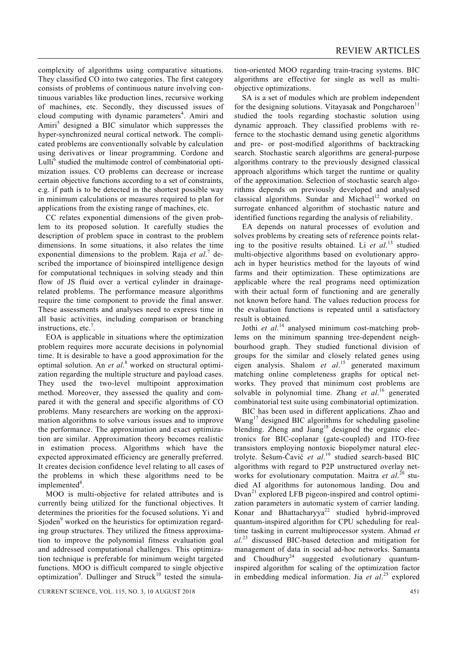complexity of algorithms using comparative situations. They classified CO into two categories. The first category consists of problems of continuous nature involving continuous variables like production lines, recursive working of machines, etc. Secondly, they discussed issues of cloud computing with dynamic parameters<sup>4</sup>. Amiri and Amiri<sup>5</sup> designed a BIC simulator which suppresses the hyper-synchronized neural cortical network. The complicated problems are conventionally solvable by calculation using derivatives or linear programming. Cordone and Lulli $^6$  studied the multimode control of combinatorial optimization issues. CO problems can decrease or increase certain objective functions according to a set of constraints, e.g. if path is to be detected in the shortest possible way in minimum calculations or measures required to plan for applications from the existing range of machines, etc.

 CC relates exponential dimensions of the given problem to its proposed solution. It carefully studies the description of problem space in contrast to the problem dimensions. In some situations, it also relates the time exponential dimensions to the problem. Raja *et al.*<sup>7</sup> described the importance of bioinspired intelligence design for computational techniques in solving steady and thin flow of JS fluid over a vertical cylinder in drainagerelated problems. The performance measure algorithms require the time component to provide the final answer. These assessments and analyses need to express time in all basic activities, including comparison or branching instructions, etc.<sup>7</sup>.

 EOA is applicable in situations where the optimization problem requires more accurate decisions in polynomial time. It is desirable to have a good approximation for the optimal solution. An *et al.*<sup>8</sup> worked on structural optimization regarding the multiple structure and payload cases. They used the two-level multipoint approximation method. Moreover, they assessed the quality and compared it with the general and specific algorithms of CO problems. Many researchers are working on the approximation algorithms to solve various issues and to improve the performance. The approximation and exact optimization are similar. Approximation theory becomes realistic in estimation process. Algorithms which have the expected approximated efficiency are generally preferred. It creates decision confidence level relating to all cases of the problems in which these algorithms need to be implemented<sup>8</sup>.

 MOO is multi-objective for related attributes and is currently being utilized for the functional objectives. It determines the priorities for the focused solutions. Yi and Sjoden<sup>9</sup> worked on the heuristics for optimization regarding group structures. They utilized the fitness approximation to improve the polynomial fitness evaluation goal and addressed computational challenges. This optimization technique is preferable for minimum weight targeted functions. MOO is difficult compared to single objective optimization<sup>9</sup>. Dullinger and Struck<sup>10</sup> tested the simulation-oriented MOO regarding train-tracing systems. BIC algorithms are effective for single as well as multiobjective optimizations.

 SA is a set of modules which are problem independent for the designing solutions. Vitayasak and Pongcharoen<sup>11</sup> studied the tools regarding stochastic solution using dynamic approach. They classified problems with refernce to the stochastic demand using genetic algorithms and pre- or post-modified algorithms of backtracking search. Stochastic search algorithms are general-purpose algorithms contrary to the previously designed classical approach algorithms which target the runtime or quality of the approximation. Selection of stochastic search algorithms depends on previously developed and analysed classical algorithms. Sundar and Michael<sup>12</sup> worked on surrogate enhanced algorithm of stochastic nature and identified functions regarding the analysis of reliability.

 EA depends on natural processes of evolution and solves problems by creating sets of reference points relating to the positive results obtained. Li *et al*. 13 studied multi-objective algorithms based on evolutionary approach in hyper heuristics method for the layouts of wind farms and their optimization. These optimizations are applicable where the real programs need optimization with their actual form of functioning and are generally not known before hand. The values reduction process for the evaluation functions is repeated until a satisfactory result is obtained.

Jothi *et al.*<sup>14</sup> analysed minimum cost-matching problems on the minimum spanning tree-dependent neighbourhood graph. They studied functional division of groups for the similar and closely related genes using eigen analysis. Shalom *et al*. 15 generated maximum matching online completeness graphs for optical networks. They proved that minimum cost problems are solvable in polynomial time. Zhang *et al*. 16 generated combinatorial test suite using combinatorial optimization.

 BIC has been used in different applications. Zhao and Wang<sup>17</sup> designed BIC algorithms for scheduling gasoline blending. Zheng and Jiang<sup>18</sup> designed the organic electronics for BIC-coplanar (gate-coupled) and ITO-free transistors employing nontoxic biopolymer natural electrolyte. Šešum-Čavić *et al*. 19 studied search-based BIC algorithms with regard to P2P unstructured overlay networks for evolutionary computation. Maitra *et al*. 20 studied AI algorithms for autonomous landing. Dou and  $Dvan<sup>21</sup>$  explored LFB pigeon-inspired and control optimization parameters in automatic system of carrier landing. Konar and Bhattacharyya<sup>22</sup> studied hybrid-improved quantum-inspired algorithm for CPU scheduling for realtime tasking in current multiprocessor system. Ahmad *et al.*23 discussed BIC-based detection and mitigation for management of data in social ad-hoc networks. Samanta and  $Choudhury<sup>24</sup> suggested evolutionary quantum$ inspired algorithm for scaling of the optimization factor in embedding medical information. Jia *et al*. 25 explored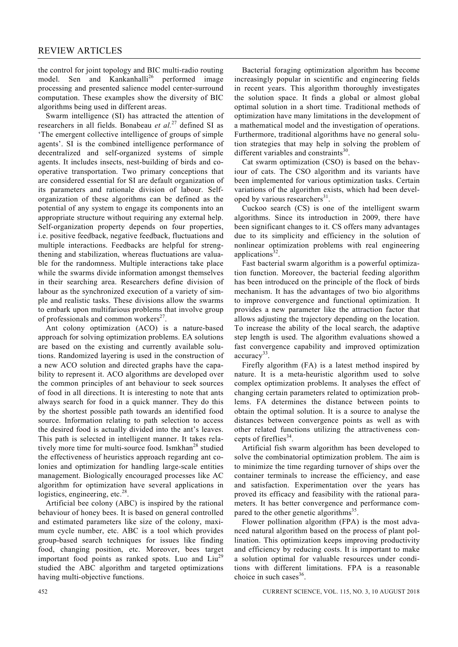the control for joint topology and BIC multi-radio routing model. Sen and Kankanhalli<sup>26</sup> performed image processing and presented salience model center-surround computation. These examples show the diversity of BIC algorithms being used in different areas.

 Swarm intelligence (SI) has attracted the attention of researchers in all fields. Bonabeau *et al.*27 defined SI as 'The emergent collective intelligence of groups of simple agents'. SI is the combined intelligence performance of decentralized and self-organized systems of simple agents. It includes insects, nest-building of birds and cooperative transportation. Two primary conceptions that are considered essential for SI are default organization of its parameters and rationale division of labour. Selforganization of these algorithms can be defined as the potential of any system to engage its components into an appropriate structure without requiring any external help. Self-organization property depends on four properties, i.e. positive feedback, negative feedback, fluctuations and multiple interactions. Feedbacks are helpful for strengthening and stabilization, whereas fluctuations are valuable for the randomness. Multiple interactions take place while the swarms divide information amongst themselves in their searching area. Researchers define division of labour as the synchronized execution of a variety of simple and realistic tasks. These divisions allow the swarms to embark upon multifarious problems that involve group of professionals and common workers<sup> $27$ </sup>.

 Ant colony optimization (ACO) is a nature-based approach for solving optimization problems. EA solutions are based on the existing and currently available solutions. Randomized layering is used in the construction of a new ACO solution and directed graphs have the capability to represent it. ACO algorithms are developed over the common principles of ant behaviour to seek sources of food in all directions. It is interesting to note that ants always search for food in a quick manner. They do this by the shortest possible path towards an identified food source. Information relating to path selection to access the desired food is actually divided into the ant's leaves. This path is selected in intelligent manner. It takes relatively more time for multi-source food. Ismkhan<sup>28</sup> studied the effectiveness of heuristics approach regarding ant colonies and optimization for handling large-scale entities management. Biologically encouraged processes like AC algorithm for optimization have several applications in logistics, engineering, etc. $28$ .

 Artificial bee colony (ABC) is inspired by the rational behaviour of honey bees. It is based on general controlled and estimated parameters like size of the colony, maximum cycle number, etc. ABC is a tool which provides group-based search techniques for issues like finding food, changing position, etc. Moreover, bees target important food points as ranked spots. Luo and Liu<sup>29</sup> studied the ABC algorithm and targeted optimizations having multi-objective functions.

 Bacterial foraging optimization algorithm has become increasingly popular in scientific and engineering fields in recent years. This algorithm thoroughly investigates the solution space. It finds a global or almost global optimal solution in a short time. Traditional methods of optimization have many limitations in the development of a mathematical model and the investigation of operations. Furthermore, traditional algorithms have no general solution strategies that may help in solving the problem of different variables and constraints $30$ .

 Cat swarm optimization (CSO) is based on the behaviour of cats. The CSO algorithm and its variants have been implemented for various optimization tasks. Certain variations of the algorithm exists, which had been developed by various researchers $31$ .

 Cuckoo search (CS) is one of the intelligent swarm algorithms. Since its introduction in 2009, there have been significant changes to it. CS offers many advantages due to its simplicity and efficiency in the solution of nonlinear optimization problems with real engineering applications $32$ .

 Fast bacterial swarm algorithm is a powerful optimization function. Moreover, the bacterial feeding algorithm has been introduced on the principle of the flock of birds mechanism. It has the advantages of two bio algorithms to improve convergence and functional optimization. It provides a new parameter like the attraction factor that allows adjusting the trajectory depending on the location. To increase the ability of the local search, the adaptive step length is used. The algorithm evaluations showed a fast convergence capability and improved optimization  $accuracy^{33}$ .

 Firefly algorithm (FA) is a latest method inspired by nature. It is a meta-heuristic algorithm used to solve complex optimization problems. It analyses the effect of changing certain parameters related to optimization problems. FA determines the distance between points to obtain the optimal solution. It is a source to analyse the distances between convergence points as well as with other related functions utilizing the attractiveness concepts of fireflies<sup>34</sup>.

 Artificial fish swarm algorithm has been developed to solve the combinatorial optimization problem. The aim is to minimize the time regarding turnover of ships over the container terminals to increase the efficiency, and ease and satisfaction. Experimentation over the years has proved its efficacy and feasibility with the rational parameters. It has better convergence and performance compared to the other genetic algorithms<sup>35</sup>.

 Flower pollination algorithm (FPA) is the most advanced natural algorithm based on the process of plant pollination. This optimization keeps improving productivity and efficiency by reducing costs. It is important to make a solution optimal for valuable resources under conditions with different limitations. FPA is a reasonable choice in such cases $36$ .